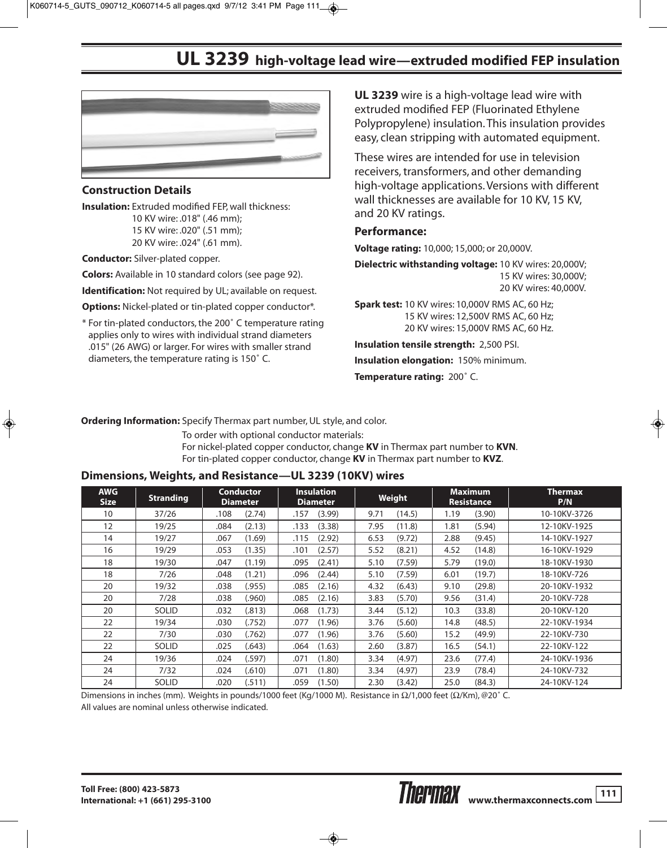## **UL 3239 high-voltage lead wire—extruded modified FEP insulation**



## **Construction Details**

**Insulation:** Extruded modified FEP, wall thickness: 10 KV wire: .018" (.46 mm); 15 KV wire: .020" (.51 mm); 20 KV wire: .024" (.61 mm).

**Conductor:** Silver-plated copper.

**Colors:** Available in 10 standard colors (see page 92).

**Identification:** Not required by UL; available on request.

**Options:** Nickel-plated or tin-plated copper conductor\*.

\* For tin-plated conductors, the 200˚ C temperature rating applies only to wires with individual strand diameters .015" (26 AWG) or larger. For wires with smaller strand diameters, the temperature rating is 150˚ C.

**UL 3239** wire is a high-voltage lead wire with extruded modified FEP (Fluorinated Ethylene Polypropylene) insulation. This insulation provides easy, clean stripping with automated equipment.

These wires are intended for use in television receivers, transformers, and other demanding high-voltage applications. Versions with different wall thicknesses are available for 10 KV, 15 KV, and 20 KV ratings.

## **Performance:**

**Voltage rating:** 10,000; 15,000; or 20,000V.

**Dielectric withstanding voltage:** 10 KV wires: 20,000V; 15 KV wires: 30,000V; 20 KV wires: 40,000V.

**Spark test:** 10 KV wires: 10,000V RMS AC, 60 Hz; 15 KV wires: 12,500V RMS AC, 60 Hz; 20 KV wires: 15,000V RMS AC, 60 Hz.

**Insulation tensile strength:** 2,500 PSI. **Insulation elongation:** 150% minimum. **Temperature rating:** 200˚ C.

**Ordering Information:** Specify Thermax part number, UL style, and color.

To order with optional conductor materials: For nickel-plated copper conductor, change **KV** in Thermax part number to **KVN**. For tin-plated copper conductor, change **KV** in Thermax part number to **KVZ**.

## **Dimensions, Weights, and Resistance—UL 3239 (10KV) wires**

| <b>AWG</b><br><b>Size</b> | <b>Stranding</b> | <b>Conductor</b><br><b>Diameter</b> | <b>Insulation</b><br><b>Diameter</b> | Weight         | <b>Maximum</b><br><b>Resistance</b> | <b>Thermax</b><br>P/N |
|---------------------------|------------------|-------------------------------------|--------------------------------------|----------------|-------------------------------------|-----------------------|
| 10                        | 37/26            | (2.74)<br>.108                      | (3.99)<br>.157                       | (14.5)<br>9.71 | (3.90)<br>1.19                      | 10-10KV-3726          |
| 12                        | 19/25            | (2.13)<br>.084                      | .133<br>(3.38)                       | 7.95<br>(11.8) | (5.94)<br>1.81                      | 12-10KV-1925          |
| 14                        | 19/27            | .067<br>(1.69)                      | .115<br>(2.92)                       | 6.53<br>(9.72) | 2.88<br>(9.45)                      | 14-10KV-1927          |
| 16                        | 19/29            | (1.35)<br>.053                      | (2.57)<br>.101                       | (8.21)<br>5.52 | (14.8)<br>4.52                      | 16-10KV-1929          |
| 18                        | 19/30            | (1.19)<br>.047                      | (2.41)<br>.095                       | (7.59)<br>5.10 | (19.0)<br>5.79                      | 18-10KV-1930          |
| 18                        | 7/26             | (1.21)<br>.048                      | (2.44)<br>.096                       | (7.59)<br>5.10 | (19.7)<br>6.01                      | 18-10KV-726           |
| 20                        | 19/32            | .038<br>(.955)                      | (2.16)<br>.085                       | 4.32<br>(6.43) | (29.8)<br>9.10                      | 20-10KV-1932          |
| 20                        | 7/28             | (.960)<br>.038                      | (2.16)<br>.085                       | (5.70)<br>3.83 | (31.4)<br>9.56                      | 20-10KV-728           |
| 20                        | <b>SOLID</b>     | (.813)<br>.032                      | (1.73)<br>.068                       | (5.12)<br>3.44 | (33.8)<br>10.3                      | 20-10KV-120           |
| 22                        | 19/34            | (.752)<br>.030                      | (1.96)<br>.077                       | (5.60)<br>3.76 | 14.8<br>(48.5)                      | 22-10KV-1934          |
| 22                        | 7/30             | .030<br>(.762)                      | .077<br>(1.96)                       | (5.60)<br>3.76 | 15.2<br>(49.9)                      | 22-10KV-730           |
| 22                        | SOLID            | .025<br>(.643)                      | (1.63)<br>.064                       | (3.87)<br>2.60 | 16.5<br>(54.1)                      | 22-10KV-122           |
| 24                        | 19/36            | (.597)<br>.024                      | (1.80)<br>.071                       | (4.97)<br>3.34 | (77.4)<br>23.6                      | 24-10KV-1936          |
| 24                        | 7/32             | (.610)<br>.024                      | (1.80)<br>.071                       | (4.97)<br>3.34 | 23.9<br>(78.4)                      | 24-10KV-732           |
| 24                        | <b>SOLID</b>     | (.511)<br>.020                      | .059<br>(1.50)                       | 2.30<br>(3.42) | (84.3)<br>25.0                      | 24-10KV-124           |

Dimensions in inches (mm). Weights in pounds/1000 feet (Kg/1000 M). Resistance in Ω/1,000 feet (Ω/Km), @20˚ C. All values are nominal unless otherwise indicated.